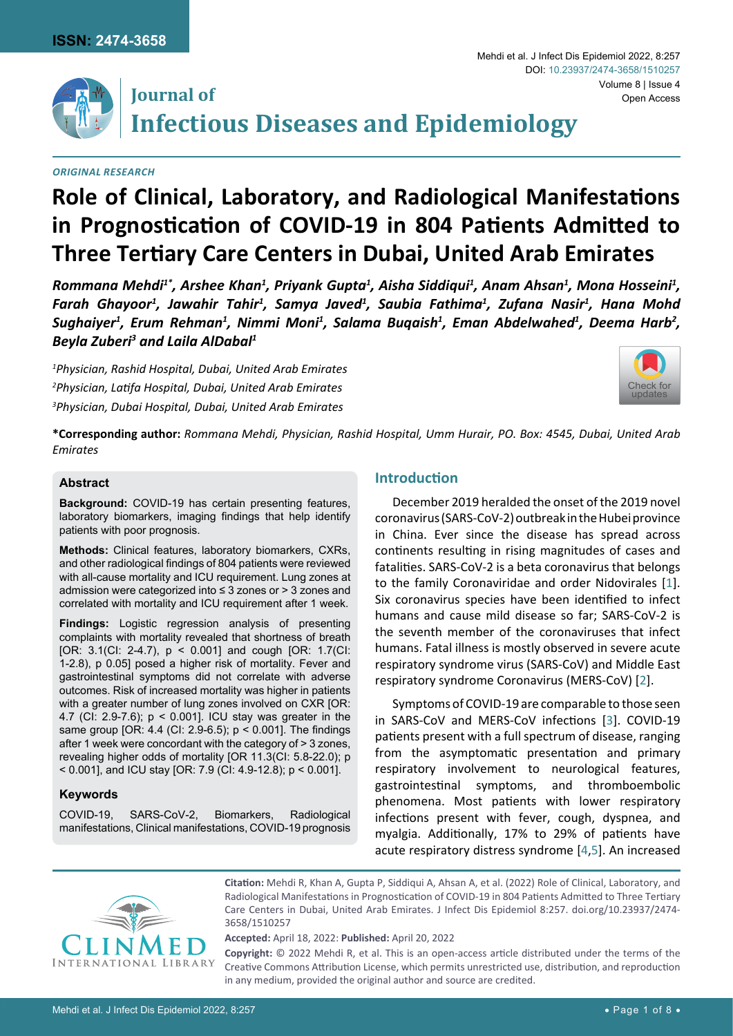

## **Journal of Infectious Diseases and Epidemiology**

*Original Research*

# **Role of Clinical, Laboratory, and Radiological Manifestations in Prognostication of COVID-19 in 804 Patients Admitted to Three Tertiary Care Centers in Dubai, United Arab Emirates**

*Rommana Mehdi1\*, Arshee Khan1 , Priyank Gupta1 , Aisha Siddiqui1 , Anam Ahsan1 , Mona Hosseini1 , Farah Ghayoor1 , Jawahir Tahir1 , Samya Javed1 , Saubia Fathima1 , Zufana Nasir1 , Hana Mohd*  Sughaiyer<sup>1</sup>, Erum Rehman<sup>1</sup>, Nimmi Moni<sup>1</sup>, Salama Buqaish<sup>1</sup>, Eman Abdelwahed<sup>1</sup>, Deema Harb<sup>2</sup>, *Beyla Zuberi3 and Laila AlDabal1*

*1 Physician, Rashid Hospital, Dubai, United Arab Emirates 2 Physician, Latifa Hospital, Dubai, United Arab Emirates 3 Physician, Dubai Hospital, Dubai, United Arab Emirates*



**\*Corresponding author:** *Rommana Mehdi, Physician, Rashid Hospital, Umm Hurair, PO. Box: 4545, Dubai, United Arab Emirates*

## **Abstract**

**Background:** COVID-19 has certain presenting features, laboratory biomarkers, imaging findings that help identify patients with poor prognosis.

**Methods:** Clinical features, laboratory biomarkers, CXRs, and other radiological findings of 804 patients were reviewed with all-cause mortality and ICU requirement. Lung zones at admission were categorized into ≤ 3 zones or > 3 zones and correlated with mortality and ICU requirement after 1 week.

**Findings:** Logistic regression analysis of presenting complaints with mortality revealed that shortness of breath [OR: 3.1(CI: 2-4.7), p < 0.001] and cough [OR: 1.7(CI: 1-2.8), p 0.05] posed a higher risk of mortality. Fever and gastrointestinal symptoms did not correlate with adverse outcomes. Risk of increased mortality was higher in patients with a greater number of lung zones involved on CXR [OR: 4.7 (CI: 2.9-7.6); p < 0.001]. ICU stay was greater in the same group [OR: 4.4 (CI: 2.9-6.5); p < 0.001]. The findings after 1 week were concordant with the category of > 3 zones, revealing higher odds of mortality [OR 11.3(CI: 5.8-22.0); p < 0.001], and ICU stay [OR: 7.9 (CI: 4.9-12.8); p < 0.001].

## **Keywords**

COVID-19, SARS-CoV-2, Biomarkers, Radiological manifestations, Clinical manifestations, COVID-19 prognosis

## **Introduction**

December 2019 heralded the onset of the 2019 novel coronavirus (SARS-CoV-2) outbreak in the Hubei province in China. Ever since the disease has spread across continents resulting in rising magnitudes of cases and fatalities. SARS-CoV-2 is a beta coronavirus that belongs to the family Coronaviridae and order Nidovirales [\[1](#page-6-0)]. Six coronavirus species have been identified to infect humans and cause mild disease so far; SARS-CoV-2 is the seventh member of the coronaviruses that infect humans. Fatal illness is mostly observed in severe acute respiratory syndrome virus (SARS-CoV) and Middle East respiratory syndrome Coronavirus (MERS-CoV) [[2](#page-6-1)].

Symptoms of COVID-19 are comparable to those seen in SARS-CoV and MERS-CoV infections [[3](#page-6-2)]. COVID-19 patients present with a full spectrum of disease, ranging from the asymptomatic presentation and primary respiratory involvement to neurological features, gastrointestinal symptoms, and thromboembolic phenomena. Most patients with lower respiratory infections present with fever, cough, dyspnea, and myalgia. Additionally, 17% to 29% of patients have acute respiratory distress syndrome [\[4](#page-6-3),[5](#page-6-4)]. An increased



**Citation:** Mehdi R, Khan A, Gupta P, Siddiqui A, Ahsan A, et al. (2022) Role of Clinical, Laboratory, and Radiological Manifestations in Prognostication of COVID-19 in 804 Patients Admitted to Three Tertiary Care Centers in Dubai, United Arab Emirates. J Infect Dis Epidemiol 8:257. [doi.org/10.23937/2474-](https://doi.org/10.23937/2474-3658/1510257) [3658/1510257](https://doi.org/10.23937/2474-3658/1510257)

**Accepted:** April 18, 2022: **Published:** April 20, 2022

**Copyright:** © 2022 Mehdi R, et al. This is an open-access article distributed under the terms of the Creative Commons Attribution License, which permits unrestricted use, distribution, and reproduction in any medium, provided the original author and source are credited.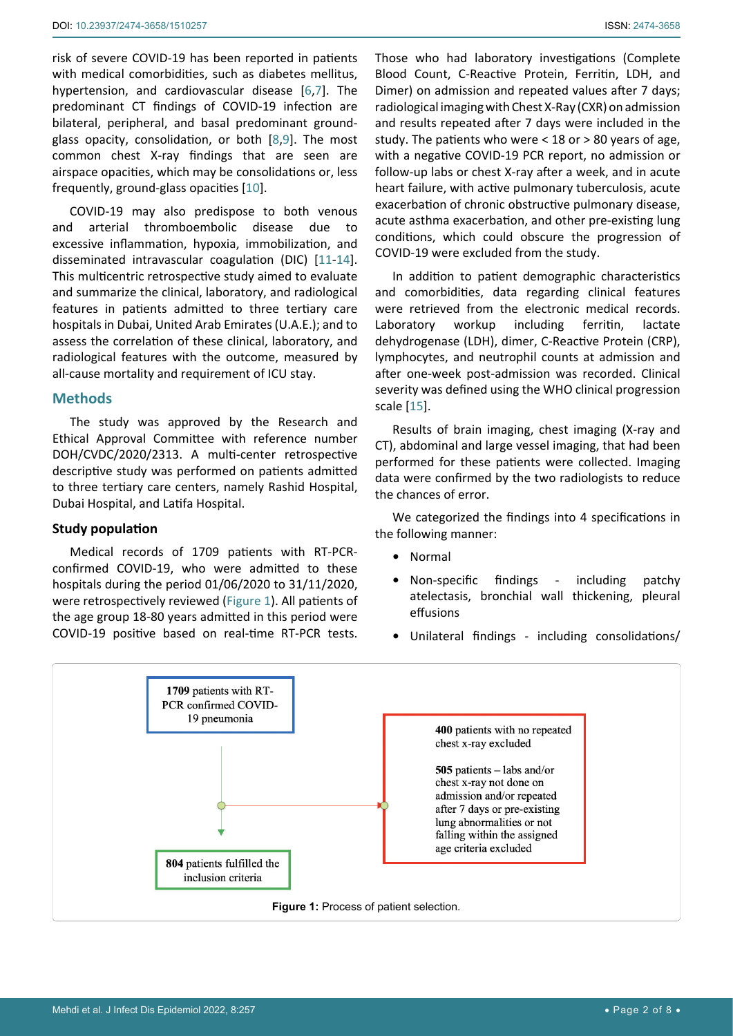risk of severe COVID-19 has been reported in patients with medical comorbidities, such as diabetes mellitus, hypertension, and cardiovascular disease [[6](#page-6-6),[7](#page-6-7)]. The predominant CT findings of COVID-19 infection are bilateral, peripheral, and basal predominant groundglass opacity, consolidation, or both [\[8](#page-6-8),[9](#page-6-9)]. The most common chest X-ray findings that are seen are airspace opacities, which may be consolidations or, less frequently, ground-glass opacities [[10](#page-6-10)].

COVID-19 may also predispose to both venous and arterial thromboembolic disease due to excessive inflammation, hypoxia, immobilization, and disseminated intravascular coagulation (DIC) [[11](#page-6-11)[-14](#page-6-12)]. This multicentric retrospective study aimed to evaluate and summarize the clinical, laboratory, and radiological features in patients admitted to three tertiary care hospitals in Dubai, United Arab Emirates (U.A.E.); and to assess the correlation of these clinical, laboratory, and radiological features with the outcome, measured by all-cause mortality and requirement of ICU stay.

## **Methods**

The study was approved by the Research and Ethical Approval Committee with reference number DOH/CVDC/2020/2313. A multi-center retrospective descriptive study was performed on patients admitted to three tertiary care centers, namely Rashid Hospital, Dubai Hospital, and Latifa Hospital.

#### **Study population**

Medical records of 1709 patients with RT-PCRconfirmed COVID-19, who were admitted to these hospitals during the period 01/06/2020 to 31/11/2020, were retrospectively reviewed [\(Figure 1](#page-1-0)). All patients of the age group 18-80 years admitted in this period were COVID-19 positive based on real-time RT-PCR tests.

Those who had laboratory investigations (Complete Blood Count, C-Reactive Protein, Ferritin, LDH, and Dimer) on admission and repeated values after 7 days; radiological imaging with Chest X-Ray (CXR) on admission and results repeated after 7 days were included in the study. The patients who were < 18 or > 80 years of age, with a negative COVID-19 PCR report, no admission or follow-up labs or chest X-ray after a week, and in acute heart failure, with active pulmonary tuberculosis, acute exacerbation of chronic obstructive pulmonary disease, acute asthma exacerbation, and other pre-existing lung conditions, which could obscure the progression of COVID-19 were excluded from the study.

In addition to patient demographic characteristics and comorbidities, data regarding clinical features were retrieved from the electronic medical records. Laboratory workup including ferritin, lactate dehydrogenase (LDH), dimer, C-Reactive Protein (CRP), lymphocytes, and neutrophil counts at admission and after one-week post-admission was recorded. Clinical severity was defined using the WHO clinical progression scale [[15](#page-6-5)].

Results of brain imaging, chest imaging (X-ray and CT), abdominal and large vessel imaging, that had been performed for these patients were collected. Imaging data were confirmed by the two radiologists to reduce the chances of error.

We categorized the findings into 4 specifications in the following manner:

- **•** Normal
- **•** Non-specific findings including patchy atelectasis, bronchial wall thickening, pleural effusions
- **•** Unilateral findings including consolidations/

<span id="page-1-0"></span>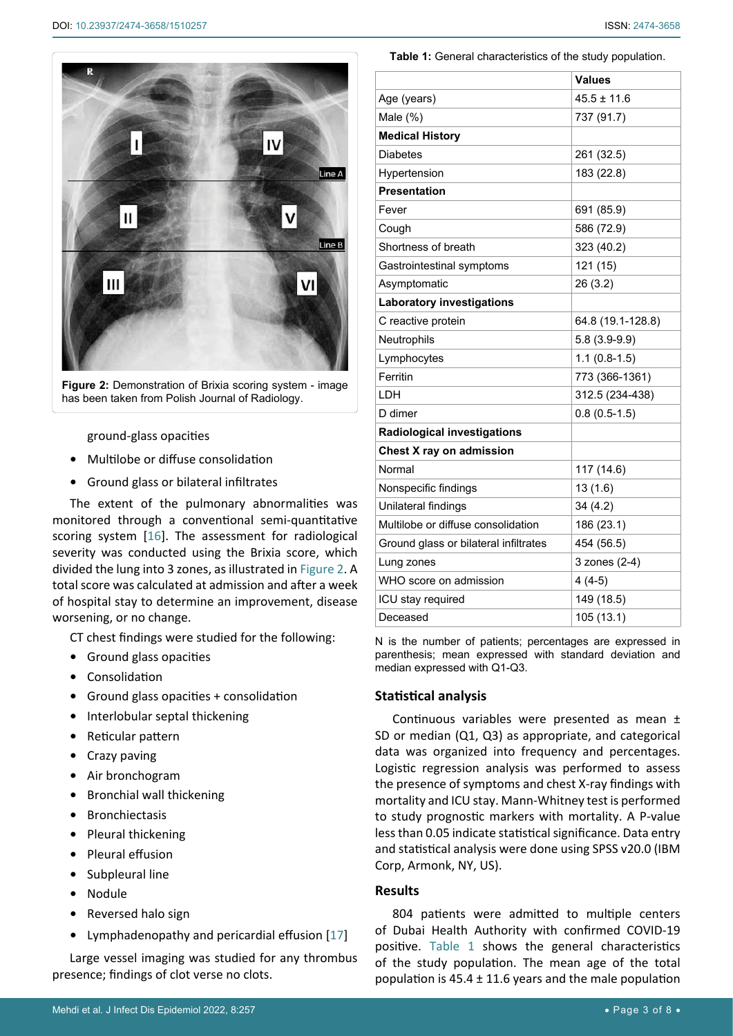<span id="page-2-1"></span>

**Figure 2:** Demonstration of Brixia scoring system - image has been taken from Polish Journal of Radiology.

ground-glass opacities

- **•** Multilobe or diffuse consolidation
- **•** Ground glass or bilateral infiltrates

The extent of the pulmonary abnormalities was monitored through a conventional semi-quantitative scoring system [[16\]](#page-6-13). The assessment for radiological severity was conducted using the Brixia score, which divided the lung into 3 zones, as illustrated in [Figure 2](#page-2-1). A total score was calculated at admission and after a week of hospital stay to determine an improvement, disease worsening, or no change.

CT chest findings were studied for the following:

- **•** Ground glass opacities
- **•** Consolidation
- **•** Ground glass opacities + consolidation
- **•** Interlobular septal thickening
- **•** Reticular pattern
- **•** Crazy paving
- **•** Air bronchogram
- **•** Bronchial wall thickening
- **•** Bronchiectasis
- **•** Pleural thickening
- **•** Pleural effusion
- **•** Subpleural line
- **•** Nodule
- **•** Reversed halo sign
- **•** Lymphadenopathy and pericardial effusion [\[17](#page-6-14)]

Large vessel imaging was studied for any thrombus presence; findings of clot verse no clots.

<span id="page-2-0"></span>**Table 1:** General characteristics of the study population.

|                                       | <b>Values</b>     |  |
|---------------------------------------|-------------------|--|
| Age (years)                           | $45.5 \pm 11.6$   |  |
| Male $(\%)$                           | 737 (91.7)        |  |
| <b>Medical History</b>                |                   |  |
| Diabetes                              | 261 (32.5)        |  |
| Hypertension                          | 183 (22.8)        |  |
| <b>Presentation</b>                   |                   |  |
| Fever                                 | 691 (85.9)        |  |
| Cough                                 | 586 (72.9)        |  |
| Shortness of breath                   | 323 (40.2)        |  |
| Gastrointestinal symptoms             | 121 (15)          |  |
| Asymptomatic                          | 26 (3.2)          |  |
| <b>Laboratory investigations</b>      |                   |  |
| C reactive protein                    | 64.8 (19.1-128.8) |  |
| Neutrophils                           | $5.8(3.9-9.9)$    |  |
| Lymphocytes                           | $1.1(0.8-1.5)$    |  |
| Ferritin                              | 773 (366-1361)    |  |
| LDH                                   | 312.5 (234-438)   |  |
| D dimer                               | $0.8(0.5-1.5)$    |  |
| <b>Radiological investigations</b>    |                   |  |
| Chest X ray on admission              |                   |  |
| Normal                                | 117 (14.6)        |  |
| Nonspecific findings                  | 13(1.6)           |  |
| Unilateral findings                   | 34(4.2)           |  |
| Multilobe or diffuse consolidation    | 186 (23.1)        |  |
| Ground glass or bilateral infiltrates | 454 (56.5)        |  |
| Lung zones                            | 3 zones (2-4)     |  |
| WHO score on admission                | $4(4-5)$          |  |
| ICU stay required                     | 149 (18.5)        |  |
| Deceased                              | 105 (13.1)        |  |

N is the number of patients; percentages are expressed in parenthesis; mean expressed with standard deviation and median expressed with Q1-Q3.

## **Statistical analysis**

Continuous variables were presented as mean ± SD or median (Q1, Q3) as appropriate, and categorical data was organized into frequency and percentages. Logistic regression analysis was performed to assess the presence of symptoms and chest X-ray findings with mortality and ICU stay. Mann-Whitney test is performed to study prognostic markers with mortality. A P-value less than 0.05 indicate statistical significance. Data entry and statistical analysis were done using SPSS v20.0 (IBM Corp, Armonk, NY, US).

#### **Results**

804 patients were admitted to multiple centers of Dubai Health Authority with confirmed COVID-19 positive. [Table 1](#page-2-0) shows the general characteristics of the study population. The mean age of the total population is  $45.4 \pm 11.6$  years and the male population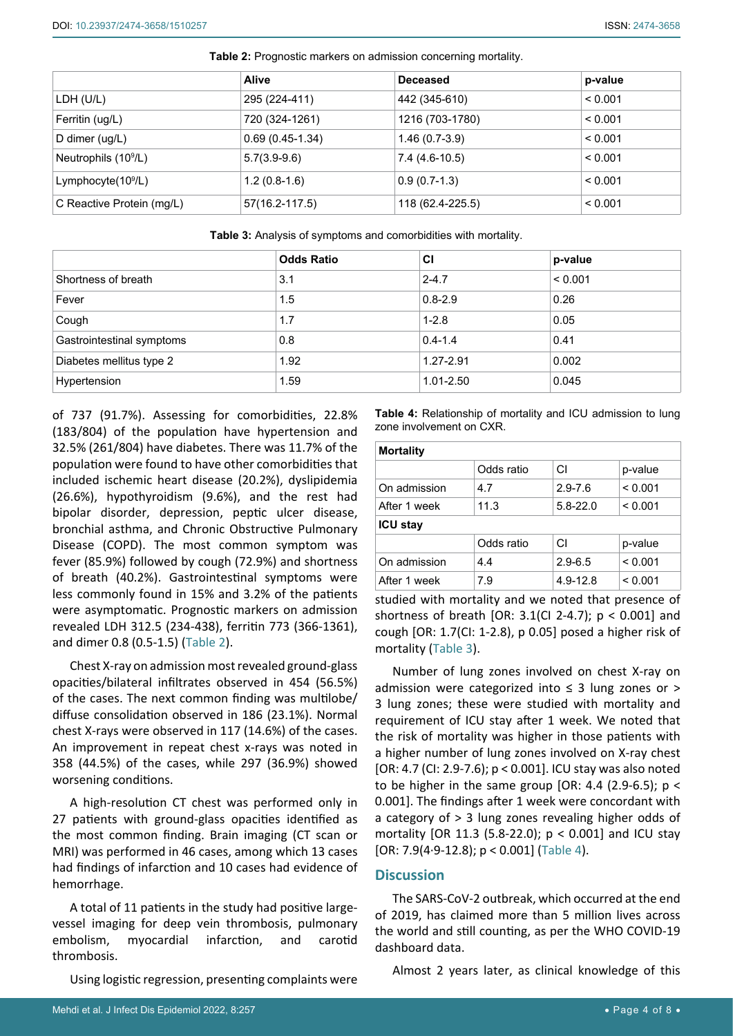|                           | <b>Alive</b>      | <b>Deceased</b>  | p-value |
|---------------------------|-------------------|------------------|---------|
| LDH (U/L)                 | 295 (224-411)     | 442 (345-610)    | < 0.001 |
| Ferritin (ug/L)           | 720 (324-1261)    | 1216 (703-1780)  | < 0.001 |
| D dimer (ug/L)            | $0.69(0.45-1.34)$ | $1.46(0.7-3.9)$  | < 0.001 |
| Neutrophils $(109/L)$     | $5.7(3.9-9.6)$    | 7.4 (4.6-10.5)   | < 0.001 |
| Lymphocyte $(109/L)$      | $1.2(0.8-1.6)$    | $0.9(0.7-1.3)$   | < 0.001 |
| C Reactive Protein (mg/L) | 57(16.2-117.5)    | 118 (62.4-225.5) | < 0.001 |

<span id="page-3-2"></span>**Table 2:** Prognostic markers on admission concerning mortality.

<span id="page-3-0"></span>

|                           | <b>Odds Ratio</b> | CI            | p-value |
|---------------------------|-------------------|---------------|---------|
| Shortness of breath       | 3.1               | $2 - 4.7$     | < 0.001 |
| Fever                     | 1.5               | $0.8 - 2.9$   | 0.26    |
| Cough                     | 1.7               | $1 - 2.8$     | 0.05    |
| Gastrointestinal symptoms | 0.8               | $0.4 - 1.4$   | 0.41    |
| Diabetes mellitus type 2  | 1.92              | 1.27-2.91     | 0.002   |
| Hypertension              | 1.59              | $1.01 - 2.50$ | 0.045   |

of 737 (91.7%). Assessing for comorbidities, 22.8% (183/804) of the population have hypertension and 32.5% (261/804) have diabetes. There was 11.7% of the population were found to have other comorbidities that included ischemic heart disease (20.2%), dyslipidemia (26.6%), hypothyroidism (9.6%), and the rest had bipolar disorder, depression, peptic ulcer disease, bronchial asthma, and Chronic Obstructive Pulmonary Disease (COPD). The most common symptom was fever (85.9%) followed by cough (72.9%) and shortness of breath (40.2%). Gastrointestinal symptoms were less commonly found in 15% and 3.2% of the patients were asymptomatic. Prognostic markers on admission revealed LDH 312.5 (234-438), ferritin 773 (366-1361), and dimer 0.8 (0.5-1.5) ([Table 2](#page-3-2)).

Chest X-ray on admission most revealed ground-glass opacities/bilateral infiltrates observed in 454 (56.5%) of the cases. The next common finding was multilobe/ diffuse consolidation observed in 186 (23.1%). Normal chest X-rays were observed in 117 (14.6%) of the cases. An improvement in repeat chest x-rays was noted in 358 (44.5%) of the cases, while 297 (36.9%) showed worsening conditions.

A high-resolution CT chest was performed only in 27 patients with ground-glass opacities identified as the most common finding. Brain imaging (CT scan or MRI) was performed in 46 cases, among which 13 cases had findings of infarction and 10 cases had evidence of hemorrhage.

A total of 11 patients in the study had positive largevessel imaging for deep vein thrombosis, pulmonary embolism, myocardial infarction, and carotid thrombosis.

Using logistic regression, presenting complaints were

<span id="page-3-1"></span>**Table 4:** Relationship of mortality and ICU admission to lung zone involvement on CXR.

| <b>Mortality</b> |            |              |         |  |
|------------------|------------|--------------|---------|--|
|                  | Odds ratio | СI           | p-value |  |
| On admission     | 4.7        | $2.9 - 7.6$  | < 0.001 |  |
| After 1 week     | 11.3       | $5.8 - 22.0$ | < 0.001 |  |
| <b>ICU stav</b>  |            |              |         |  |
|                  | Odds ratio | СI           | p-value |  |
| On admission     | 4.4        | $2.9 - 6.5$  | < 0.001 |  |
| After 1 week     | 7.9        | 4.9-12.8     | < 0.001 |  |

studied with mortality and we noted that presence of shortness of breath [OR: 3.1(CI 2-4.7);  $p < 0.001$ ] and cough [OR: 1.7(CI: 1-2.8), p 0.05] posed a higher risk of mortality ([Table 3](#page-3-0)).

Number of lung zones involved on chest X-ray on admission were categorized into ≤ 3 lung zones or > 3 lung zones; these were studied with mortality and requirement of ICU stay after 1 week. We noted that the risk of mortality was higher in those patients with a higher number of lung zones involved on X-ray chest [OR: 4.7 (CI: 2.9-7.6); p < 0.001]. ICU stay was also noted to be higher in the same group [OR: 4.4 (2.9-6.5);  $p <$ 0.001]. The findings after 1 week were concordant with a category of > 3 lung zones revealing higher odds of mortality [OR 11.3 (5.8-22.0);  $p < 0.001$ ] and ICU stay [OR: 7.9(4·9-12.8); p < 0.001] [\(Table 4](#page-3-1)).

## **Discussion**

The SARS-CoV-2 outbreak, which occurred at the end of 2019, has claimed more than 5 million lives across the world and still counting, as per the WHO COVID-19 dashboard data.

Almost 2 years later, as clinical knowledge of this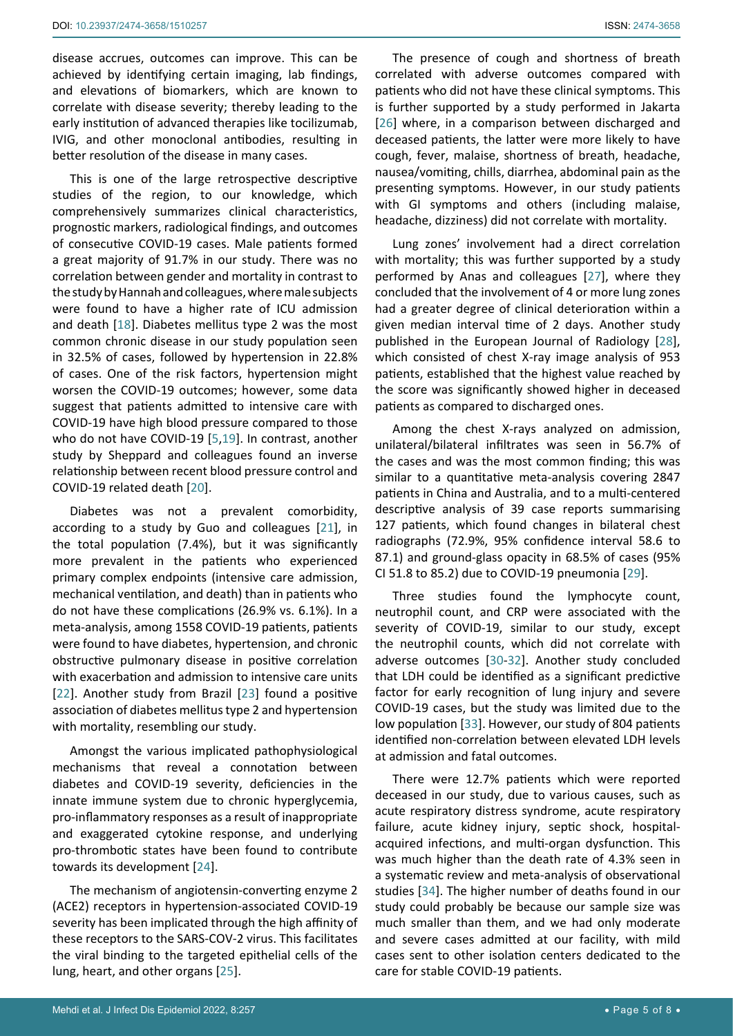disease accrues, outcomes can improve. This can be achieved by identifying certain imaging, lab findings, and elevations of biomarkers, which are known to correlate with disease severity; thereby leading to the early institution of advanced therapies like tocilizumab, IVIG, and other monoclonal antibodies, resulting in better resolution of the disease in many cases.

This is one of the large retrospective descriptive studies of the region, to our knowledge, which comprehensively summarizes clinical characteristics, prognostic markers, radiological findings, and outcomes of consecutive COVID-19 cases. Male patients formed a great majority of 91.7% in our study. There was no correlation between gender and mortality in contrast to the study by Hannah and colleagues, where male subjects were found to have a higher rate of ICU admission and death [\[18](#page-6-16)]. Diabetes mellitus type 2 was the most common chronic disease in our study population seen in 32.5% of cases, followed by hypertension in 22.8% of cases. One of the risk factors, hypertension might worsen the COVID-19 outcomes; however, some data suggest that patients admitted to intensive care with COVID-19 have high blood pressure compared to those who do not have COVID-19 [\[5](#page-6-4),[19\]](#page-6-17). In contrast, another study by Sheppard and colleagues found an inverse relationship between recent blood pressure control and COVID-19 related death [[20\]](#page-6-18).

Diabetes was not a prevalent comorbidity, according to a study by Guo and colleagues [\[21](#page-6-19)], in the total population (7.4%), but it was significantly more prevalent in the patients who experienced primary complex endpoints (intensive care admission, mechanical ventilation, and death) than in patients who do not have these complications (26.9% vs. 6.1%). In a meta-analysis, among 1558 COVID-19 patients, patients were found to have diabetes, hypertension, and chronic obstructive pulmonary disease in positive correlation with exacerbation and admission to intensive care units [[22](#page-6-20)]. Another study from Brazil [\[23](#page-6-21)] found a positive association of diabetes mellitus type 2 and hypertension with mortality, resembling our study.

Amongst the various implicated pathophysiological mechanisms that reveal a connotation between diabetes and COVID-19 severity, deficiencies in the innate immune system due to chronic hyperglycemia, pro-inflammatory responses as a result of inappropriate and exaggerated cytokine response, and underlying pro-thrombotic states have been found to contribute towards its development [[24](#page-6-22)].

The mechanism of angiotensin-converting enzyme 2 (ACE2) receptors in hypertension-associated COVID-19 severity has been implicated through the high affinity of these receptors to the SARS-COV-2 virus. This facilitates the viral binding to the targeted epithelial cells of the lung, heart, and other organs [[25](#page-6-23)].

The presence of cough and shortness of breath correlated with adverse outcomes compared with patients who did not have these clinical symptoms. This is further supported by a study performed in Jakarta [\[26](#page-6-15)] where, in a comparison between discharged and deceased patients, the latter were more likely to have cough, fever, malaise, shortness of breath, headache, nausea/vomiting, chills, diarrhea, abdominal pain as the presenting symptoms. However, in our study patients with GI symptoms and others (including malaise, headache, dizziness) did not correlate with mortality.

Lung zones' involvement had a direct correlation with mortality; this was further supported by a study performed by Anas and colleagues [\[27](#page-7-0)], where they concluded that the involvement of 4 or more lung zones had a greater degree of clinical deterioration within a given median interval time of 2 days. Another study published in the European Journal of Radiology [\[28](#page-7-1)], which consisted of chest X-ray image analysis of 953 patients, established that the highest value reached by the score was significantly showed higher in deceased patients as compared to discharged ones.

Among the chest X-rays analyzed on admission, unilateral/bilateral infiltrates was seen in 56.7% of the cases and was the most common finding; this was similar to a quantitative meta-analysis covering 2847 patients in China and Australia, and to a multi-centered descriptive analysis of 39 case reports summarising 127 patients, which found changes in bilateral chest radiographs (72.9%, 95% confidence interval 58.6 to 87.1) and ground-glass opacity in 68.5% of cases (95% CI 51.8 to 85.2) due to COVID-19 pneumonia [\[29](#page-7-2)].

Three studies found the lymphocyte count, neutrophil count, and CRP were associated with the severity of COVID-19, similar to our study, except the neutrophil counts, which did not correlate with adverse outcomes [[30](#page-7-3)[-32](#page-7-4)]. Another study concluded that LDH could be identified as a significant predictive factor for early recognition of lung injury and severe COVID-19 cases, but the study was limited due to the low population [\[33](#page-7-5)]. However, our study of 804 patients identified non-correlation between elevated LDH levels at admission and fatal outcomes.

There were 12.7% patients which were reported deceased in our study, due to various causes, such as acute respiratory distress syndrome, acute respiratory failure, acute kidney injury, septic shock, hospitalacquired infections, and multi-organ dysfunction. This was much higher than the death rate of 4.3% seen in a systematic review and meta-analysis of observational studies [[34\]](#page-7-6). The higher number of deaths found in our study could probably be because our sample size was much smaller than them, and we had only moderate and severe cases admitted at our facility, with mild cases sent to other isolation centers dedicated to the care for stable COVID-19 patients.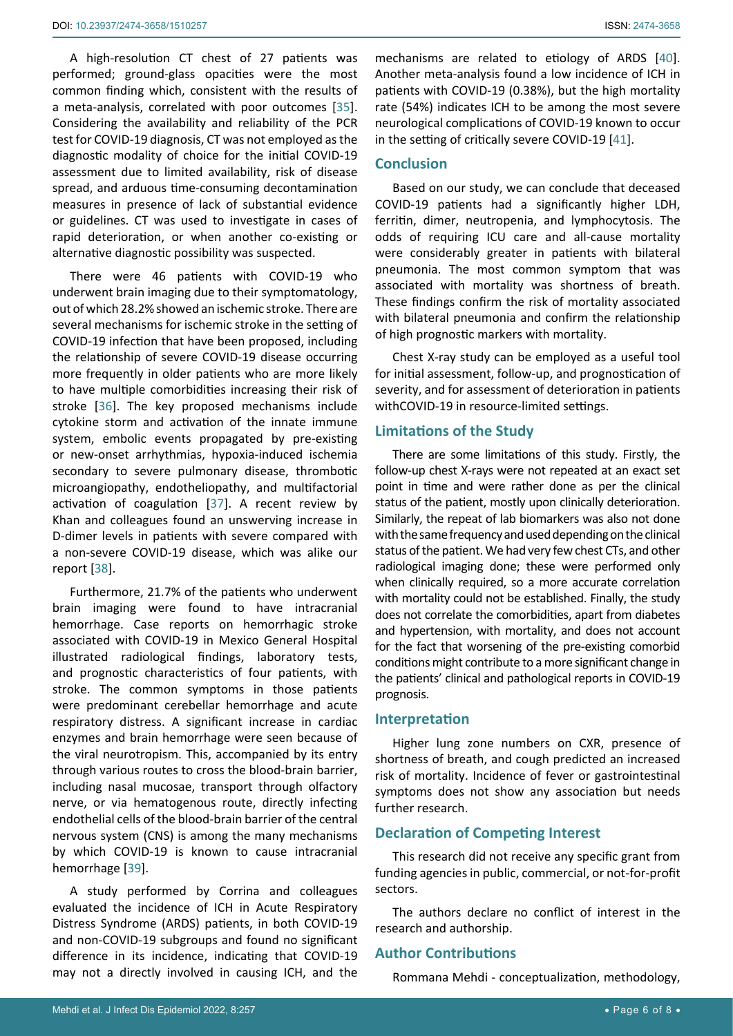A high-resolution CT chest of 27 patients was performed; ground-glass opacities were the most common finding which, consistent with the results of a meta-analysis, correlated with poor outcomes [\[35](#page-7-9)]. Considering the availability and reliability of the PCR test for COVID-19 diagnosis, CT was not employed as the diagnostic modality of choice for the initial COVID-19 assessment due to limited availability, risk of disease spread, and arduous time-consuming decontamination measures in presence of lack of substantial evidence or guidelines. CT was used to investigate in cases of rapid deterioration, or when another co-existing or alternative diagnostic possibility was suspected.

There were 46 patients with COVID-19 who underwent brain imaging due to their symptomatology, out of which 28.2% showed an ischemic stroke. There are several mechanisms for ischemic stroke in the setting of COVID-19 infection that have been proposed, including the relationship of severe COVID-19 disease occurring more frequently in older patients who are more likely to have multiple comorbidities increasing their risk of stroke [\[36](#page-7-10)]. The key proposed mechanisms include cytokine storm and activation of the innate immune system, embolic events propagated by pre-existing or new-onset arrhythmias, hypoxia-induced ischemia secondary to severe pulmonary disease, thrombotic microangiopathy, endotheliopathy, and multifactorial activation of coagulation [[37](#page-7-11)]. A recent review by Khan and colleagues found an unswerving increase in D-dimer levels in patients with severe compared with a non-severe COVID-19 disease, which was alike our report [[38](#page-7-12)].

Furthermore, 21.7% of the patients who underwent brain imaging were found to have intracranial hemorrhage. Case reports on hemorrhagic stroke associated with COVID-19 in Mexico General Hospital illustrated radiological findings, laboratory tests, and prognostic characteristics of four patients, with stroke. The common symptoms in those patients were predominant cerebellar hemorrhage and acute respiratory distress. A significant increase in cardiac enzymes and brain hemorrhage were seen because of the viral neurotropism. This, accompanied by its entry through various routes to cross the blood-brain barrier, including nasal mucosae, transport through olfactory nerve, or via hematogenous route, directly infecting endothelial cells of the blood-brain barrier of the central nervous system (CNS) is among the many mechanisms by which COVID-19 is known to cause intracranial hemorrhage [[39](#page-7-13)].

A study performed by Corrina and colleagues evaluated the incidence of ICH in Acute Respiratory Distress Syndrome (ARDS) patients, in both COVID-19 and non-COVID-19 subgroups and found no significant difference in its incidence, indicating that COVID-19 may not a directly involved in causing ICH, and the

mechanisms are related to etiology of ARDS [\[40](#page-7-7)]. Another meta-analysis found a low incidence of ICH in patients with COVID-19 (0.38%), but the high mortality rate (54%) indicates ICH to be among the most severe neurological complications of COVID-19 known to occur in the setting of critically severe COVID-19 [\[41](#page-7-8)].

## **Conclusion**

Based on our study, we can conclude that deceased COVID-19 patients had a significantly higher LDH, ferritin, dimer, neutropenia, and lymphocytosis. The odds of requiring ICU care and all-cause mortality were considerably greater in patients with bilateral pneumonia. The most common symptom that was associated with mortality was shortness of breath. These findings confirm the risk of mortality associated with bilateral pneumonia and confirm the relationship of high prognostic markers with mortality.

Chest X-ray study can be employed as a useful tool for initial assessment, follow-up, and prognostication of severity, and for assessment of deterioration in patients withCOVID-19 in resource-limited settings.

## **Limitations of the Study**

There are some limitations of this study. Firstly, the follow-up chest X-rays were not repeated at an exact set point in time and were rather done as per the clinical status of the patient, mostly upon clinically deterioration. Similarly, the repeat of lab biomarkers was also not done with the same frequency and used depending on the clinical status of the patient. We had very few chest CTs, and other radiological imaging done; these were performed only when clinically required, so a more accurate correlation with mortality could not be established. Finally, the study does not correlate the comorbidities, apart from diabetes and hypertension, with mortality, and does not account for the fact that worsening of the pre-existing comorbid conditions might contribute to a more significant change in the patients' clinical and pathological reports in COVID-19 prognosis.

#### **Interpretation**

Higher lung zone numbers on CXR, presence of shortness of breath, and cough predicted an increased risk of mortality. Incidence of fever or gastrointestinal symptoms does not show any association but needs further research.

## **Declaration of Competing Interest**

This research did not receive any specific grant from funding agencies in public, commercial, or not-for-profit sectors.

The authors declare no conflict of interest in the research and authorship.

#### **Author Contributions**

Rommana Mehdi - conceptualization, methodology,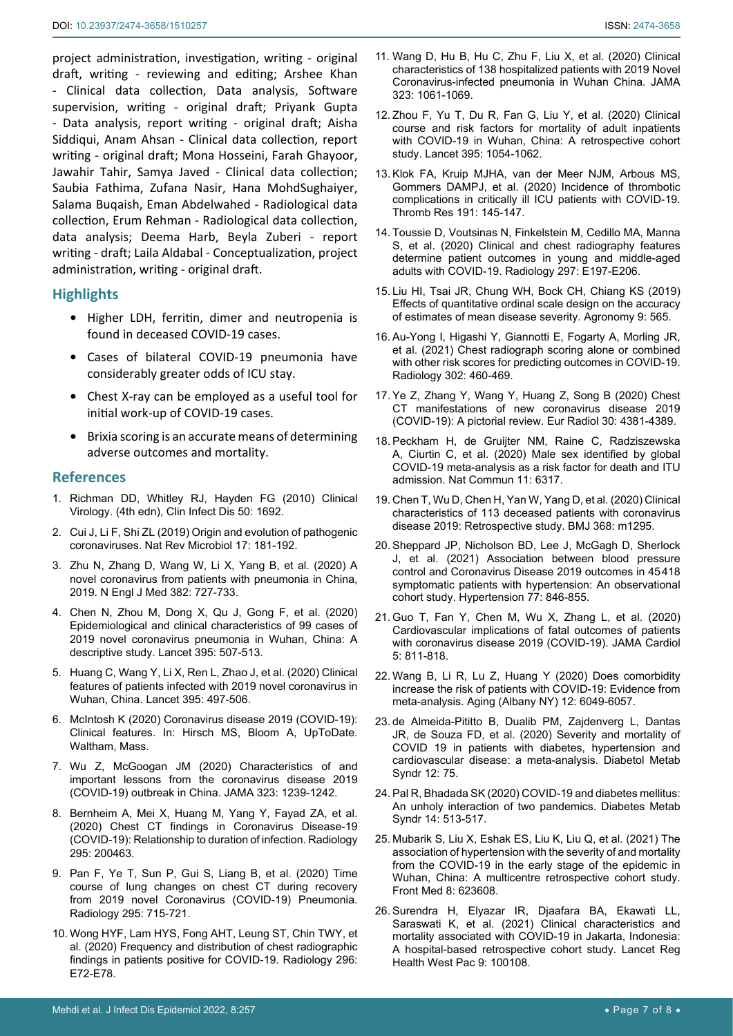project administration, investigation, writing - original draft, writing - reviewing and editing; Arshee Khan - Clinical data collection, Data analysis, Software supervision, writing - original draft; Priyank Gupta - Data analysis, report writing - original draft; Aisha Siddiqui, Anam Ahsan - Clinical data collection, report writing - original draft; Mona Hosseini, Farah Ghayoor, Jawahir Tahir, Samya Javed - Clinical data collection; Saubia Fathima, Zufana Nasir, Hana MohdSughaiyer, Salama Buqaish, Eman Abdelwahed - Radiological data collection, Erum Rehman - Radiological data collection, data analysis; Deema Harb, Beyla Zuberi - report writing - draft; Laila Aldabal - Conceptualization, project administration, writing - original draft.

## **Highlights**

- **•** Higher LDH, ferritin, dimer and neutropenia is found in deceased COVID-19 cases.
- **•** Cases of bilateral COVID-19 pneumonia have considerably greater odds of ICU stay.
- **•** Chest X-ray can be employed as a useful tool for initial work-up of COVID-19 cases.
- **•** Brixia scoring is an accurate means of determining adverse outcomes and mortality.

#### **References**

- <span id="page-6-0"></span>1. [Richman DD, Whitley RJ, Hayden FG \(2010\) Clinical](https://www.ncbi.nlm.nih.gov/pmc/articles/PMC7107991/)  [Virology. \(4th edn\), Clin Infect Dis 50: 1692.](https://www.ncbi.nlm.nih.gov/pmc/articles/PMC7107991/)
- <span id="page-6-1"></span>2. [Cui J, Li F, Shi ZL \(2019\) Origin and evolution of pathogenic](https://pubmed.ncbi.nlm.nih.gov/30531947/)  [coronaviruses. Nat Rev Microbiol 17: 181-192.](https://pubmed.ncbi.nlm.nih.gov/30531947/)
- <span id="page-6-2"></span>3. [Zhu N, Zhang D, Wang W, Li X, Yang B, et al. \(2020\) A](https://www.nejm.org/doi/full/10.1056/nejmoa2001017)  [novel coronavirus from patients with pneumonia in China,](https://www.nejm.org/doi/full/10.1056/nejmoa2001017)  [2019. N Engl J Med 382: 727-733.](https://www.nejm.org/doi/full/10.1056/nejmoa2001017)
- <span id="page-6-3"></span>4. [Chen N, Zhou M, Dong X, Qu J, Gong F, et al. \(2020\)](https://pubmed.ncbi.nlm.nih.gov/32007143/)  [Epidemiological and clinical characteristics of 99 cases of](https://pubmed.ncbi.nlm.nih.gov/32007143/)  [2019 novel coronavirus pneumonia in Wuhan, China: A](https://pubmed.ncbi.nlm.nih.gov/32007143/)  [descriptive study. Lancet 395: 507-513.](https://pubmed.ncbi.nlm.nih.gov/32007143/)
- <span id="page-6-4"></span>5. [Huang C, Wang Y, Li X, Ren L, Zhao J, et al. \(2020\) Clinical](https://pubmed.ncbi.nlm.nih.gov/31986264/)  [features of patients infected with 2019 novel coronavirus in](https://pubmed.ncbi.nlm.nih.gov/31986264/)  [Wuhan, China. Lancet 395: 497-506.](https://pubmed.ncbi.nlm.nih.gov/31986264/)
- <span id="page-6-6"></span>6. [McIntosh K \(2020\) Coronavirus disease 2019 \(COVID-19\):](https://www.uptodate.com/contents/covid-19-clinical-features)  [Clinical features. In: Hirsch MS, Bloom A, UpToDate.](https://www.uptodate.com/contents/covid-19-clinical-features)  [Waltham, Mass.](https://www.uptodate.com/contents/covid-19-clinical-features)
- <span id="page-6-7"></span>7. [Wu Z, McGoogan JM \(2020\) Characteristics of and](https://pubmed.ncbi.nlm.nih.gov/32091533/)  [important lessons from the coronavirus disease 2019](https://pubmed.ncbi.nlm.nih.gov/32091533/)  [\(COVID-19\) outbreak in China. JAMA 323: 1239-1242.](https://pubmed.ncbi.nlm.nih.gov/32091533/)
- <span id="page-6-8"></span>8. Bernheim A, Mei X, Huang M, Yang Y, Fayad ZA, et al. (2020) Chest CT findings in Coronavirus Disease-19 (COVID-19): Relationship to duration of infection. Radiology 295: 200463.
- <span id="page-6-9"></span>9. [Pan F, Ye T, Sun P, Gui S, Liang B, et al. \(2020\) Time](https://pubmed.ncbi.nlm.nih.gov/32053470/)  [course of lung changes on chest CT during recovery](https://pubmed.ncbi.nlm.nih.gov/32053470/)  [from 2019 novel Coronavirus \(COVID-19\) Pneumonia.](https://pubmed.ncbi.nlm.nih.gov/32053470/)  [Radiology 295: 715-721.](https://pubmed.ncbi.nlm.nih.gov/32053470/)
- <span id="page-6-10"></span>10. [Wong HYF, Lam HYS, Fong AHT, Leung ST, Chin TWY, et](https://pubmed.ncbi.nlm.nih.gov/32216717/)  [al. \(2020\) Frequency and distribution of chest radiographic](https://pubmed.ncbi.nlm.nih.gov/32216717/)  [findings in patients positive for COVID-19. Radiology 296:](https://pubmed.ncbi.nlm.nih.gov/32216717/)  [E72-E78.](https://pubmed.ncbi.nlm.nih.gov/32216717/)
- <span id="page-6-11"></span>12. [Zhou F, Yu T, Du R, Fan G, Liu Y, et al. \(2020\) Clinical](https://www.thelancet.com/journals/lancet/article/PIIS0140-6736(20)30566-3/fulltext)  [course and risk factors for mortality of adult inpatients](https://www.thelancet.com/journals/lancet/article/PIIS0140-6736(20)30566-3/fulltext)  [with COVID-19 in Wuhan, China: A retrospective cohort](https://www.thelancet.com/journals/lancet/article/PIIS0140-6736(20)30566-3/fulltext)  study. [Lancet 395: 1054-1062.](https://www.thelancet.com/journals/lancet/article/PIIS0140-6736(20)30566-3/fulltext)
- 13. [Klok FA, Kruip MJHA, van der Meer NJM, Arbous MS,](https://pubmed.ncbi.nlm.nih.gov/32291094/)  [Gommers DAMPJ, et al. \(2020\) Incidence of thrombotic](https://pubmed.ncbi.nlm.nih.gov/32291094/)  [complications in critically ill ICU patients with COVID-19.](https://pubmed.ncbi.nlm.nih.gov/32291094/)  [Thromb Res 191: 145-147.](https://pubmed.ncbi.nlm.nih.gov/32291094/)
- <span id="page-6-12"></span>14. [Toussie D, Voutsinas N, Finkelstein M, Cedillo MA, Manna](https://pubmed.ncbi.nlm.nih.gov/32407255/)  [S, et al. \(2020\) Clinical and chest radiography features](https://pubmed.ncbi.nlm.nih.gov/32407255/)  [determine patient outcomes in young and middle-aged](https://pubmed.ncbi.nlm.nih.gov/32407255/)  [adults with COVID-19. Radiology 297: E197-E206.](https://pubmed.ncbi.nlm.nih.gov/32407255/)
- <span id="page-6-5"></span>15. [Liu HI, Tsai JR, Chung WH, Bock CH, Chiang KS \(2019\)](https://www.mdpi.com/2073-4395/9/9/565)  [Effects of quantitative ordinal scale design on the accuracy](https://www.mdpi.com/2073-4395/9/9/565)  [of estimates of mean disease severity. Agronomy 9: 565.](https://www.mdpi.com/2073-4395/9/9/565)
- <span id="page-6-13"></span>16. [Au-Yong I, Higashi Y, Giannotti E, Fogarty A, Morling JR,](https://pubmed.ncbi.nlm.nih.gov/34519573/)  et al. [\(2021\) Chest radiograph scoring alone or combined](https://pubmed.ncbi.nlm.nih.gov/34519573/)  [with other risk scores for predicting outcomes in COVID-19.](https://pubmed.ncbi.nlm.nih.gov/34519573/)  [Radiology 302: 460-469.](https://pubmed.ncbi.nlm.nih.gov/34519573/)
- <span id="page-6-14"></span>17. [Ye Z, Zhang Y, Wang Y, Huang Z, Song B \(2020\) Chest](https://pubmed.ncbi.nlm.nih.gov/32193638/)  [CT manifestations of new coronavirus disease 2019](https://pubmed.ncbi.nlm.nih.gov/32193638/)  [\(COVID-19\): A pictorial review. Eur Radiol 30: 4381-4389.](https://pubmed.ncbi.nlm.nih.gov/32193638/)
- <span id="page-6-16"></span>18. [Peckham H, de Gruijter NM, Raine C, Radziszewska](https://pubmed.ncbi.nlm.nih.gov/33298944/)  [A, Ciurtin C, et al. \(2020\) Male sex identified by global](https://pubmed.ncbi.nlm.nih.gov/33298944/)  [COVID-19 meta-analysis as a risk factor for death and ITU](https://pubmed.ncbi.nlm.nih.gov/33298944/)  admission. [Nat Commun](https://pubmed.ncbi.nlm.nih.gov/33298944/) 11: 6317.
- <span id="page-6-17"></span>19. [Chen T, Wu D, Chen H, Yan W, Yang D, et al.](https://pubmed.ncbi.nlm.nih.gov/32234718/) (2020) Clinical [characteristics of 113 deceased patients with coronavirus](https://pubmed.ncbi.nlm.nih.gov/32234718/)  [disease 2019: Retrospective study. BMJ 368: m1295.](https://pubmed.ncbi.nlm.nih.gov/32234718/)
- <span id="page-6-18"></span>20. [Sheppard JP, Nicholson BD, Lee J, McGagh D, Sherlock](https://pubmed.ncbi.nlm.nih.gov/33325240/)  [J, et al. \(2021\) Association between blood pressure](https://pubmed.ncbi.nlm.nih.gov/33325240/)  [control and Coronavirus Disease 2019 outcomes in 45418](https://pubmed.ncbi.nlm.nih.gov/33325240/)  [symptomatic patients with hypertension: An observational](https://pubmed.ncbi.nlm.nih.gov/33325240/)  [cohort study. Hypertension 77: 846-855.](https://pubmed.ncbi.nlm.nih.gov/33325240/)
- <span id="page-6-19"></span>21. [Guo T, Fan Y, Chen M, Wu X, Zhang L, et al. \(2020\)](https://pubmed.ncbi.nlm.nih.gov/32219356/)  [Cardiovascular implications of fatal outcomes of patients](https://pubmed.ncbi.nlm.nih.gov/32219356/)  [with coronavirus disease 2019 \(COVID-19\).](https://pubmed.ncbi.nlm.nih.gov/32219356/) JAMA Cardiol [5: 811-818.](https://pubmed.ncbi.nlm.nih.gov/32219356/)
- <span id="page-6-20"></span>22. [Wang B, Li R, Lu Z, Huang Y \(2020\) Does comorbidity](https://www.ncbi.nlm.nih.gov/pmc/articles/PMC7185114/)  [increase the risk of patients with COVID-19: Evidence from](https://www.ncbi.nlm.nih.gov/pmc/articles/PMC7185114/)  [meta-analysis. Aging \(Albany NY\) 12: 6049-6057.](https://www.ncbi.nlm.nih.gov/pmc/articles/PMC7185114/)
- <span id="page-6-21"></span>23. [de Almeida-Pititto B, Dualib PM, Zajdenverg L, Dantas](https://dmsjournal.biomedcentral.com/articles/10.1186/s13098-020-00586-4)  [JR, de Souza FD, et al. \(2020\) Severity and mortality of](https://dmsjournal.biomedcentral.com/articles/10.1186/s13098-020-00586-4)  [COVID 19 in patients with diabetes, hypertension and](https://dmsjournal.biomedcentral.com/articles/10.1186/s13098-020-00586-4)  [cardiovascular disease: a meta-analysis. Diabetol Metab](https://dmsjournal.biomedcentral.com/articles/10.1186/s13098-020-00586-4)  [Syndr 12: 75.](https://dmsjournal.biomedcentral.com/articles/10.1186/s13098-020-00586-4)
- <span id="page-6-22"></span>24. [Pal R, Bhadada SK \(2020\) COVID-19 and diabetes mellitus:](https://pubmed.ncbi.nlm.nih.gov/32388331/)  [An unholy interaction of two pandemics. Diabetes Metab](https://pubmed.ncbi.nlm.nih.gov/32388331/)  [Syndr 14: 513-517.](https://pubmed.ncbi.nlm.nih.gov/32388331/)
- <span id="page-6-23"></span>25. [Mubarik S, Liu X, Eshak ES, Liu K, Liu Q, et al. \(2021\) The](https://pubmed.ncbi.nlm.nih.gov/34055822/)  [association of hypertension with the severity of and mortality](https://pubmed.ncbi.nlm.nih.gov/34055822/)  [from the COVID-19 in the early stage of the epidemic in](https://pubmed.ncbi.nlm.nih.gov/34055822/)  [Wuhan, China: A multicentre retrospective cohort study.](https://pubmed.ncbi.nlm.nih.gov/34055822/)  [Front Med 8: 623608.](https://pubmed.ncbi.nlm.nih.gov/34055822/)
- <span id="page-6-15"></span>26. [Surendra H, Elyazar IR, Djaafara BA, Ekawati LL,](https://pubmed.ncbi.nlm.nih.gov/33681830/)  Saraswati K, et al. (2021) Clinical characteristics and [mortality associated with COVID-19 in Jakarta, Indonesia:](https://pubmed.ncbi.nlm.nih.gov/33681830/)  [A hospital-based retrospective cohort study. Lancet Reg](https://pubmed.ncbi.nlm.nih.gov/33681830/)  [Health West Pac 9: 100108.](https://pubmed.ncbi.nlm.nih.gov/33681830/)